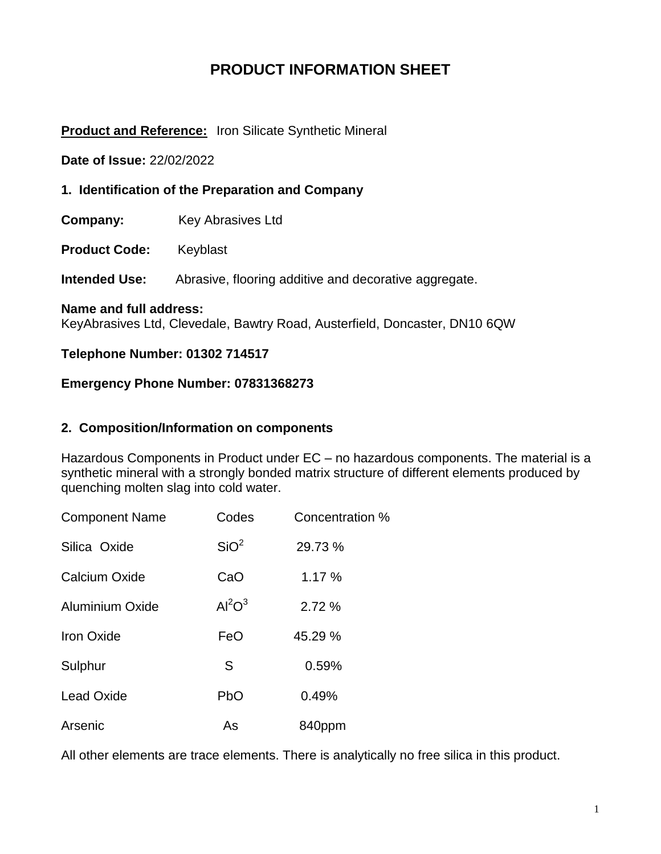# **PRODUCT INFORMATION SHEET**

### **Product and Reference:** Iron Silicate Synthetic Mineral

**Date of Issue:** 22/02/2022

**1. Identification of the Preparation and Company**

**Company:** Key Abrasives Ltd

**Product Code:** Keyblast

**Intended Use:** Abrasive, flooring additive and decorative aggregate.

#### **Name and full address:**

KeyAbrasives Ltd, Clevedale, Bawtry Road, Austerfield, Doncaster, DN10 6QW

### **Telephone Number: 01302 714517**

### **Emergency Phone Number: 07831368273**

### **2. Composition/Information on components**

Hazardous Components in Product under EC – no hazardous components. The material is a synthetic mineral with a strongly bonded matrix structure of different elements produced by quenching molten slag into cold water.

| <b>Component Name</b>  | Codes            | Concentration % |
|------------------------|------------------|-----------------|
| Silica Oxide           | SiO <sup>2</sup> | 29.73 %         |
| Calcium Oxide          | CaO              | 1.17 %          |
| <b>Aluminium Oxide</b> | $Al^2O^3$        | 2.72 %          |
| <b>Iron Oxide</b>      | FeO              | 45.29 %         |
| Sulphur                | S                | 0.59%           |
| <b>Lead Oxide</b>      | PbO              | 0.49%           |
| Arsenic                | As               | 840ppm          |

All other elements are trace elements. There is analytically no free silica in this product.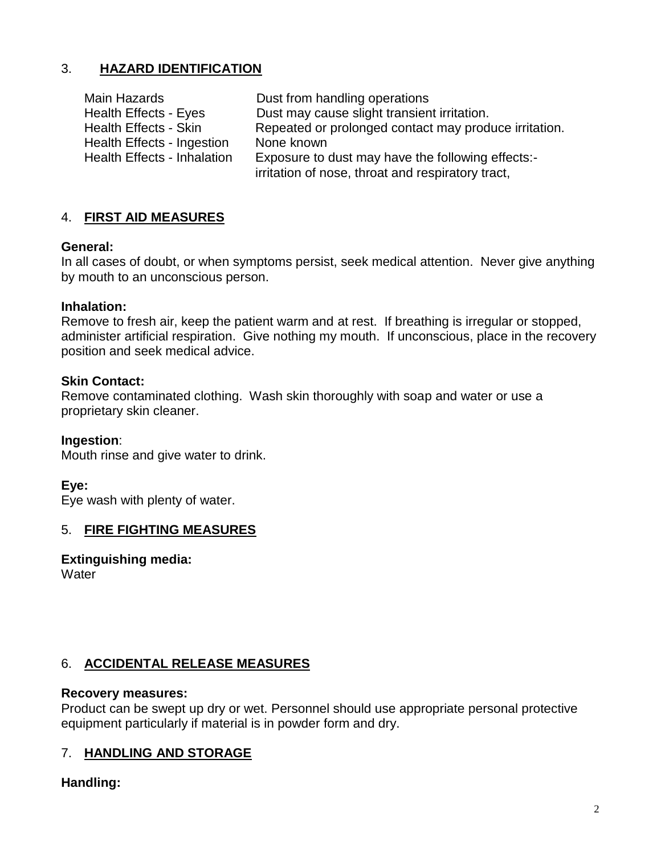## 3. **HAZARD IDENTIFICATION**

| Dust from handling operations                                                                          |
|--------------------------------------------------------------------------------------------------------|
| Dust may cause slight transient irritation.                                                            |
| Repeated or prolonged contact may produce irritation.                                                  |
| None known                                                                                             |
| Exposure to dust may have the following effects:-<br>irritation of nose, throat and respiratory tract, |
|                                                                                                        |

## 4. **FIRST AID MEASURES**

### **General:**

In all cases of doubt, or when symptoms persist, seek medical attention. Never give anything by mouth to an unconscious person.

### **Inhalation:**

Remove to fresh air, keep the patient warm and at rest. If breathing is irregular or stopped, administer artificial respiration. Give nothing my mouth. If unconscious, place in the recovery position and seek medical advice.

### **Skin Contact:**

Remove contaminated clothing. Wash skin thoroughly with soap and water or use a proprietary skin cleaner.

### **Ingestion**:

Mouth rinse and give water to drink.

### **Eye:**

Eye wash with plenty of water.

### 5. **FIRE FIGHTING MEASURES**

**Extinguishing media: Water** 

### 6. **ACCIDENTAL RELEASE MEASURES**

### **Recovery measures:**

Product can be swept up dry or wet. Personnel should use appropriate personal protective equipment particularly if material is in powder form and dry.

### 7. **HANDLING AND STORAGE**

### **Handling:**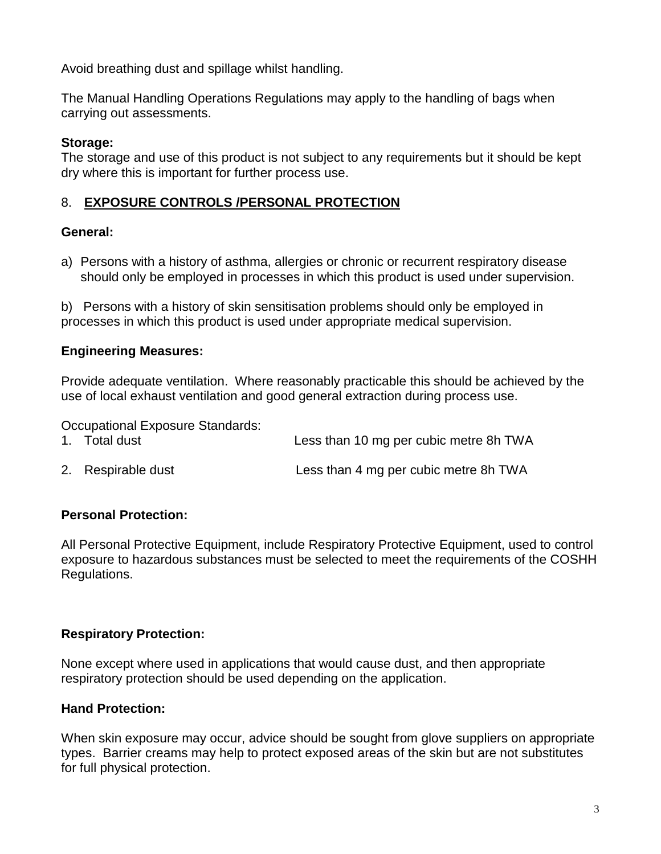Avoid breathing dust and spillage whilst handling.

The Manual Handling Operations Regulations may apply to the handling of bags when carrying out assessments.

## **Storage:**

The storage and use of this product is not subject to any requirements but it should be kept dry where this is important for further process use.

# 8. **EXPOSURE CONTROLS /PERSONAL PROTECTION**

# **General:**

a) Persons with a history of asthma, allergies or chronic or recurrent respiratory disease should only be employed in processes in which this product is used under supervision.

b) Persons with a history of skin sensitisation problems should only be employed in processes in which this product is used under appropriate medical supervision.

# **Engineering Measures:**

Provide adequate ventilation. Where reasonably practicable this should be achieved by the use of local exhaust ventilation and good general extraction during process use.

Occupational Exposure Standards:

| 1. Total dust | Less than 10 mg per cubic metre 8h TWA |
|---------------|----------------------------------------|
|               |                                        |

2. Respirable dust Less than 4 mg per cubic metre 8h TWA

# **Personal Protection:**

All Personal Protective Equipment, include Respiratory Protective Equipment, used to control exposure to hazardous substances must be selected to meet the requirements of the COSHH Regulations.

## **Respiratory Protection:**

None except where used in applications that would cause dust, and then appropriate respiratory protection should be used depending on the application.

## **Hand Protection:**

When skin exposure may occur, advice should be sought from glove suppliers on appropriate types. Barrier creams may help to protect exposed areas of the skin but are not substitutes for full physical protection.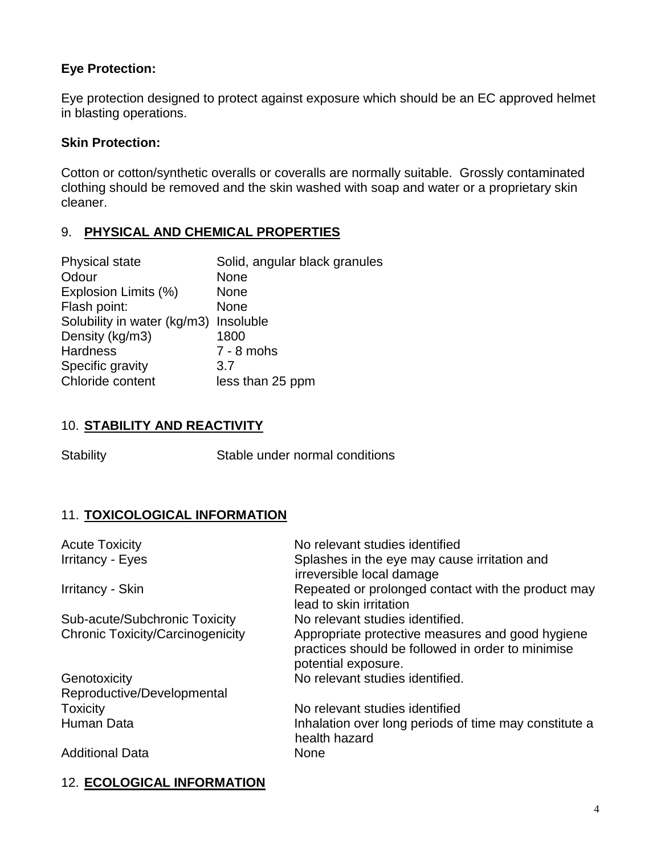## **Eye Protection:**

Eye protection designed to protect against exposure which should be an EC approved helmet in blasting operations.

## **Skin Protection:**

Cotton or cotton/synthetic overalls or coveralls are normally suitable. Grossly contaminated clothing should be removed and the skin washed with soap and water or a proprietary skin cleaner.

## 9. **PHYSICAL AND CHEMICAL PROPERTIES**

| <b>Physical state</b>       | Solid, angular black granules |
|-----------------------------|-------------------------------|
| Odour                       | <b>None</b>                   |
| Explosion Limits (%)        | <b>None</b>                   |
| Flash point:                | <b>None</b>                   |
| Solubility in water (kg/m3) | Insoluble                     |
| Density (kg/m3)             | 1800                          |
| <b>Hardness</b>             | $7 - 8$ mohs                  |
| Specific gravity            | 3.7                           |
| Chloride content            | less than 25 ppm              |
|                             |                               |

# 10. **STABILITY AND REACTIVITY**

Stability Stable under normal conditions

# 11. **TOXICOLOGICAL INFORMATION**

| No relevant studies identified                                                                                               |
|------------------------------------------------------------------------------------------------------------------------------|
| Splashes in the eye may cause irritation and<br>irreversible local damage                                                    |
| Repeated or prolonged contact with the product may<br>lead to skin irritation                                                |
| No relevant studies identified.                                                                                              |
| Appropriate protective measures and good hygiene<br>practices should be followed in order to minimise<br>potential exposure. |
| No relevant studies identified.                                                                                              |
|                                                                                                                              |
| No relevant studies identified                                                                                               |
| Inhalation over long periods of time may constitute a<br>health hazard                                                       |
| <b>None</b>                                                                                                                  |
|                                                                                                                              |

## 12. **ECOLOGICAL INFORMATION**